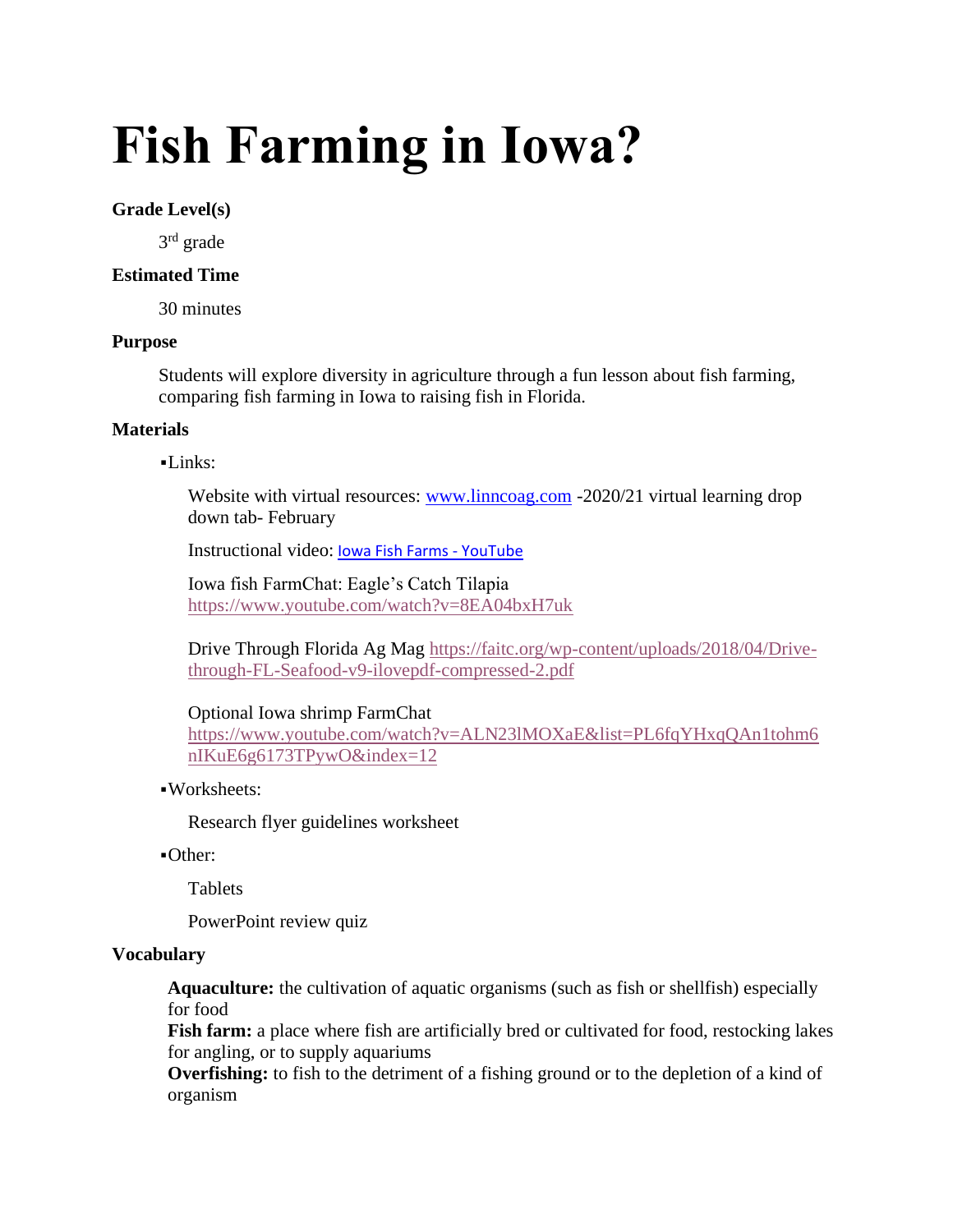# **Fish Farming in Iowa?**

# **Grade Level(s)**

3<sup>rd</sup> grade

# **Estimated Time**

30 minutes

## **Purpose**

Students will explore diversity in agriculture through a fun lesson about fish farming, comparing fish farming in Iowa to raising fish in Florida.

## **Materials**

#### ▪Links:

Website with virtual resources: [www.linncoag.com](http://www.linncoag.com/) -2020/21 virtual learning drop down tab- February

Instructional video: [Iowa Fish Farms -](https://www.youtube.com/watch?v=KhiLPThJxyY) YouTube

Iowa fish FarmChat: Eagle's Catch Tilapia <https://www.youtube.com/watch?v=8EA04bxH7uk>

Drive Through Florida Ag Mag [https://faitc.org/wp-content/uploads/2018/04/Drive](https://faitc.org/wp-content/uploads/2018/04/Drive-through-FL-Seafood-v9-ilovepdf-compressed-2.pdf)[through-FL-Seafood-v9-ilovepdf-compressed-2.pdf](https://faitc.org/wp-content/uploads/2018/04/Drive-through-FL-Seafood-v9-ilovepdf-compressed-2.pdf)

## Optional Iowa shrimp FarmChat

[https://www.youtube.com/watch?v=ALN23lMOXaE&list=PL6fqYHxqQAn1tohm6](https://www.youtube.com/watch?v=ALN23lMOXaE&list=PL6fqYHxqQAn1tohm6nIKuE6g6173TPywO&index=12) [nIKuE6g6173TPywO&index=12](https://www.youtube.com/watch?v=ALN23lMOXaE&list=PL6fqYHxqQAn1tohm6nIKuE6g6173TPywO&index=12)

▪Worksheets:

Research flyer guidelines worksheet

▪Other:

Tablets

PowerPoint review quiz

## **Vocabulary**

**Aquaculture:** the cultivation of aquatic organisms (such as fish or shellfish) especially for food

**Fish farm:** a place where fish are artificially bred or cultivated for food, restocking lakes for angling, or to supply aquariums

**Overfishing:** to fish to the detriment of a fishing ground or to the depletion of a kind of organism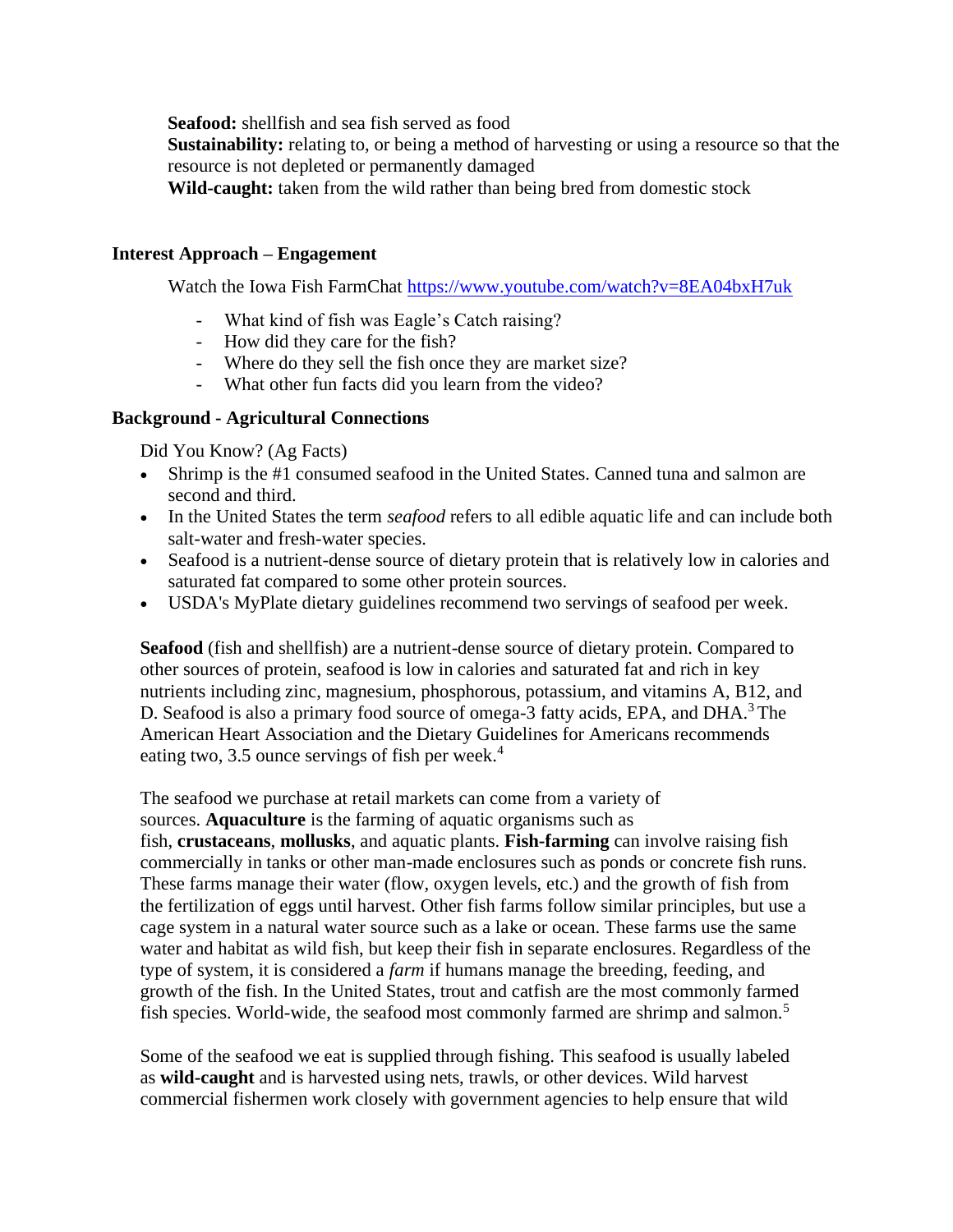**Seafood:** shellfish and sea fish served as food

**Sustainability:** relating to, or being a method of harvesting or using a resource so that the resource is not depleted or permanently damaged

**Wild-caught:** taken from the wild rather than being bred from domestic stock

## **Interest Approach – Engagement**

Watch the Iowa Fish FarmChat<https://www.youtube.com/watch?v=8EA04bxH7uk>

- What kind of fish was Eagle's Catch raising?
- How did they care for the fish?
- Where do they sell the fish once they are market size?
- What other fun facts did you learn from the video?

## **Background - Agricultural Connections**

Did You Know? (Ag Facts)

- Shrimp is the #1 consumed seafood in the United States. Canned tuna and salmon are second and third.
- In the United States the term *seafood* refers to all edible aquatic life and can include both salt-water and fresh-water species.
- Seafood is a nutrient-dense source of dietary protein that is relatively low in calories and saturated fat compared to some other protein sources.
- USDA's MyPlate dietary guidelines recommend two servings of seafood per week.

**Seafood** (fish and shellfish) are a nutrient-dense source of dietary protein. Compared to other sources of protein, seafood is low in calories and saturated fat and rich in key nutrients including zinc, magnesium, phosphorous, potassium, and vitamins A, B12, and D. Seafood is also a primary food source of omega-3 fatty acids, EPA, and DHA.<sup>3</sup> The American Heart Association and the Dietary Guidelines for Americans recommends eating two, 3.5 ounce servings of fish per week. $4$ 

The seafood we purchase at retail markets can come from a variety of sources. **Aquaculture** is the farming of aquatic organisms such as fish, **crustaceans**, **mollusks**, and aquatic plants. **Fish-farming** can involve raising fish commercially in tanks or other man-made enclosures such as ponds or concrete fish runs. These farms manage their water (flow, oxygen levels, etc.) and the growth of fish from the fertilization of eggs until harvest. Other fish farms follow similar principles, but use a cage system in a natural water source such as a lake or ocean. These farms use the same water and habitat as wild fish, but keep their fish in separate enclosures. Regardless of the

type of system, it is considered a *farm* if humans manage the breeding, feeding, and growth of the fish. In the United States, trout and catfish are the most commonly farmed fish species. World-wide, the seafood most commonly farmed are shrimp and salmon.<sup>5</sup>

Some of the seafood we eat is supplied through fishing. This seafood is usually labeled as **wild-caught** and is harvested using nets, trawls, or other devices. Wild harvest commercial fishermen work closely with government agencies to help ensure that wild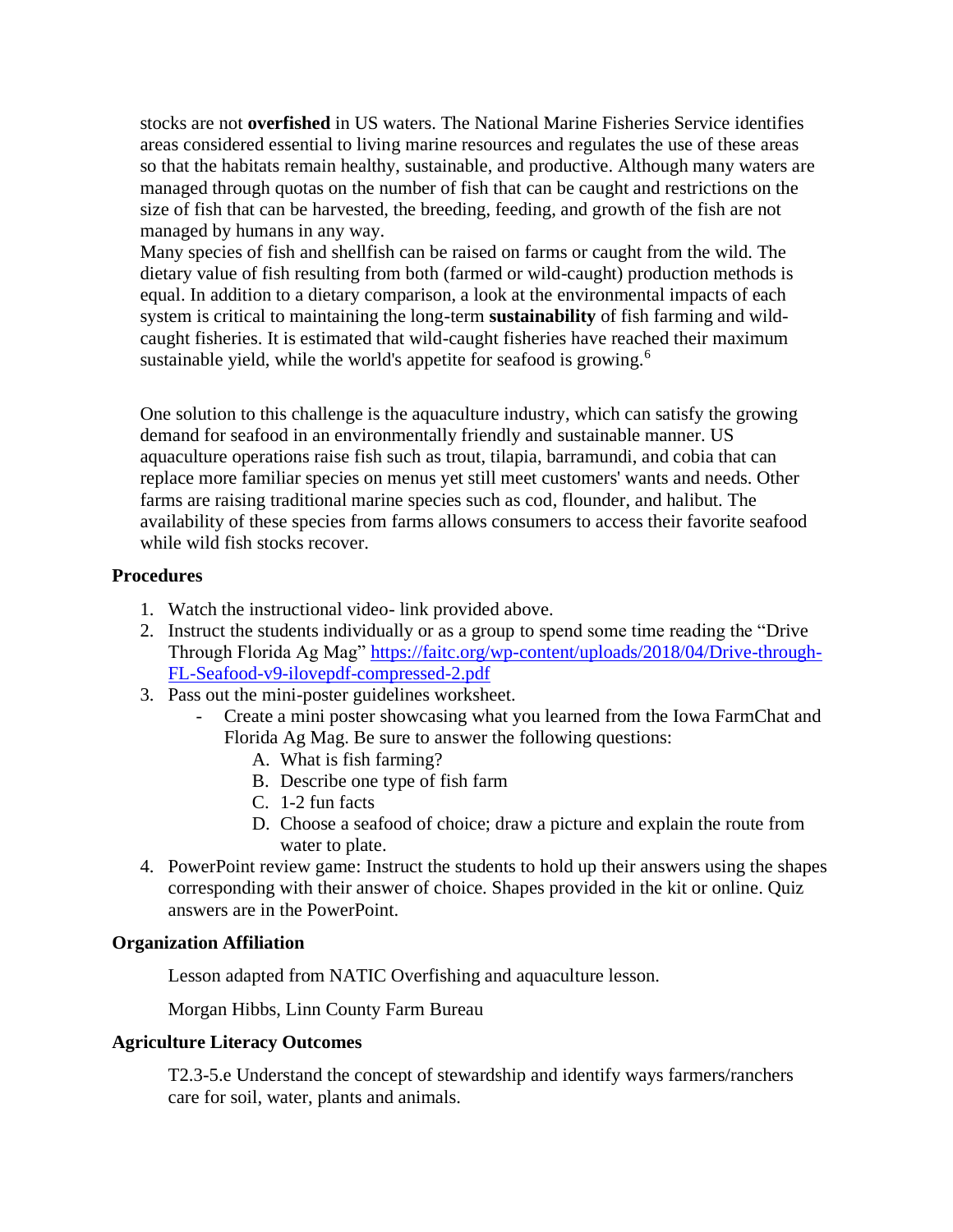stocks are not **overfished** in US waters. The National Marine Fisheries Service identifies areas considered essential to living marine resources and regulates the use of these areas so that the habitats remain healthy, sustainable, and productive. Although many waters are managed through quotas on the number of fish that can be caught and restrictions on the size of fish that can be harvested, the breeding, feeding, and growth of the fish are not managed by humans in any way.

Many species of fish and shellfish can be raised on farms or caught from the wild. The dietary value of fish resulting from both (farmed or wild-caught) production methods is equal. In addition to a dietary comparison, a look at the environmental impacts of each system is critical to maintaining the long-term **sustainability** of fish farming and wildcaught fisheries. It is estimated that wild-caught fisheries have reached their maximum sustainable yield, while the world's appetite for seafood is growing.<sup>6</sup>

One solution to this challenge is the aquaculture industry, which can satisfy the growing demand for seafood in an environmentally friendly and sustainable manner. US aquaculture operations raise fish such as trout, tilapia, barramundi, and cobia that can replace more familiar species on menus yet still meet customers' wants and needs. Other farms are raising traditional marine species such as cod, flounder, and halibut. The availability of these species from farms allows consumers to access their favorite seafood while wild fish stocks recover.

## **Procedures**

- 1. Watch the instructional video- link provided above.
- 2. Instruct the students individually or as a group to spend some time reading the "Drive Through Florida Ag Mag" [https://faitc.org/wp-content/uploads/2018/04/Drive-through-](https://faitc.org/wp-content/uploads/2018/04/Drive-through-FL-Seafood-v9-ilovepdf-compressed-2.pdf)[FL-Seafood-v9-ilovepdf-compressed-2.pdf](https://faitc.org/wp-content/uploads/2018/04/Drive-through-FL-Seafood-v9-ilovepdf-compressed-2.pdf)
- 3. Pass out the mini-poster guidelines worksheet.
	- Create a mini poster showcasing what you learned from the Iowa FarmChat and Florida Ag Mag. Be sure to answer the following questions:
		- A. What is fish farming?
		- B. Describe one type of fish farm
		- C. 1-2 fun facts
		- D. Choose a seafood of choice; draw a picture and explain the route from water to plate.
- 4. PowerPoint review game: Instruct the students to hold up their answers using the shapes corresponding with their answer of choice. Shapes provided in the kit or online. Quiz answers are in the PowerPoint.

#### **Organization Affiliation**

Lesson adapted from NATIC Overfishing and aquaculture lesson.

Morgan Hibbs, Linn County Farm Bureau

#### **Agriculture Literacy Outcomes**

T2.3-5.e Understand the concept of stewardship and identify ways farmers/ranchers care for soil, water, plants and animals.